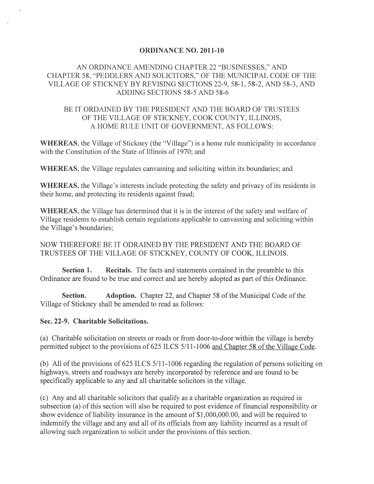#### **ORDINANCE NO. 2011-10**

### AN ORDINANCE AMENDING CHAPTER 22 "BUSINESSES," AND CHAPTER 58, "PEDDLERS AND SOLICITORS," OF THE MUNICIPAL CODE OF THE VILLAGE OF STICKNEY BY REVISING SECTIONS 22-9,58-1,58-2, AND 58-3, AND ADDING SECTIONS 58-5 AND 58-6

#### BE IT ORDAINED BY THE PRESIDENT AND THE BOARD OF TRUSTEES OF THE VILLAGE OF STICKNEY, COOK COUNTY, ILLINOIS, A HOME RULE UNIT OF GOVERNMENT, AS FOLLOWS:

**WHEREAS,** the Village of Stickney (the "Village") is a home rule municipality in accordance with the Constitution of the State of Illinois of 1970; and

**WHEREAS,** the Village regulates canvassing and soliciting within its boundaries; and

**WHEREAS,** the Village's interests include protecting the safety and privacy of its residents in their home, and protecting its residents against fraud;

**WHEREAS,** the Village has determined that it is in the interest of the safety and welfare of Village residents to establish certain regulations applicable to canvassing and soliciting within the Village's boundaries;

NOW THEREFORE BE IT ODRAINED BY THE PRESIDENT AND THE BOARD OF TRUSTEES OF THE VILLAGE OF STICKNEY, COUNTY OF COOK, ILLINOIS.

**Section 1.** Recitals. The facts and statements contained in the preamble to this Ordinance are found to be true and correct and are hereby adopted as part of this Ordinance.

**Section.** Adoption. Chapter 22, and Chapter 58 of the Municipal Code of the Village of Stickney shall be amended to read as follows:

#### **Sec. 22-9. Charitable Solicitations.**

(a) Charitable solicitation on streets or roads or from door-to-door within the village is hereby permitted subject to the provisions of 625 ILCS 5/11-1006 and Chapter 58 of the Village Code.

(b) All of the provisions of 625 ILCS .5/11-1 006 regarding the regulation of persons soliciting on highways, streets and roadways are hereby incorporated by reference and are found to be specifically applicable to any and all charitable solicitors in the village.

(c) Any and all charitable solicitors that qualify as a charitable organization as required in subsection (a) of this section will also be required to post evidence of financial responsibility or show evidence of liability insurance in the amount of  $$1,000,000,00$ , and will be required to indemnify the village and any and all of its officials from any liability incurred as a result of allowing such organization to solicit under the provisions of this section.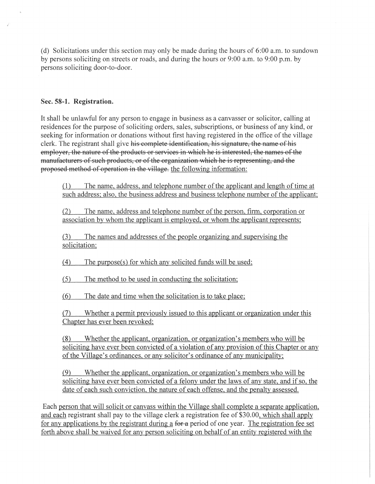(d) Solicitations under this section may only be made during the hours of 6:00 a.m. to sundown by persons soliciting on streets or roads, and during the hours or 9:00 a.m. to 9:00 p.m. by persons soliciting door-to-door.

#### **Sec. 58-1. Registration.**

It shall be unlawful for any person to engage in business as a canvasser or solicitor, calling at residences for the purpose of soliciting orders, sales, subscriptions, or business of any kind, or seeking for information or donations without first having registered in the office of the village clerk. The registrant shall give his complete identification, his signature, the name of his employer, the nature of the products or services in which he is interested, the names of the manufacturers of such products, or of the organization which he is representing, and the proposed method of operation in the village. the following information:

(1) The name, address, and telephone number of the applicant and length oftime at such address; also, the business address and business telephone number of the applicant;

(2) The name, address and telephone number of the person, firm, corporation or association by whom the applicant is employed, or whom the applicant represents;

(3) The names and addresses of the people organizing and supervising the solicitation;

(4) The purpose(s) for which any solicited funds will be used;

(5) The method to be used in conducting the solicitation;

(6) The date and time when the solicitation is to take place;

(7) Whether a permit previously issued to this applicant or organization under this Chapter has ever been revoked;

(8) Whether the applicant, organization, or organization'S members who will be soliciting have ever been convicted of a violation of any provision of this Chapter or any of the Village's ordinances, or any solicitor's ordinance of any municipality;

(9) Whether the applicant, organization, or organization's members who will be soliciting have ever been convicted of a felony under the laws of any state, and if so, the date of each such conviction, the nature of each offense, and the penalty assessed.

Each person that will solicit or canvass within the Village shall complete a separate application, and each registrant shall pay to the village clerk a registration fee of \$30.00, which shall apply for any applications by the registrant during a for-a period of one year. The registration fee set forth above shall be waived for any person soliciting on behalf of an entity registered with the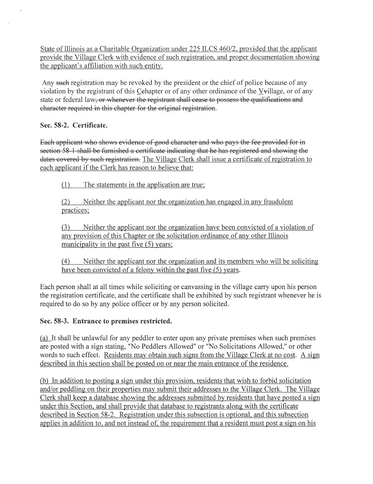State of Illinois as a Charitable Organization under 225 ILCS *460/2,* provided that the applicant provide the Village Clerk with evidence of such registration, and proper documentation showing the applicant's affiliation with such entity.

Any such registration may be revoked by the president or the chief of police because of any violation by the registrant of this Cehapter or of any other ordinance of the Vvillage, or of any state or federal law, or whenever the registrant shall cease to possess the qualifications and character required in this chapter for the original registration.

# **Sec. 58-2. Certificate.**

Each applicant who shows evidence of good character and who pays the fee provided for in section 58-1 shall be furnished a certificate indicating that he has registered and showing the dates covered by such registration. The Village Clerk shall issue a certificate of registration to each applicant if the Clerk has reason to believe that:

(1) The statements in the application are true;

(2) Neither the applicant nor the organization has engaged in any fraudulent practices;

(3) Neither the applicant nor the organization have been convicted of a violation of any provision of this Chapter or the solicitation ordinance of any other Illinois municipality in the past five (5) years;

(4) Neither the applicant nor the organization and its members who will be soliciting have been convicted of a felony within the past five (5) years.

Each person shall at all times while soliciting or canvassing in the village carry upon his person the registration certificate, and the certificate shall be exhibited by such registrant whenever he is required to do so by any police officer or by any person solicited.

# Sec. 58-3. Entrance to premises restricted.

(a) It shall be unlawful for any peddler to enter upon any private premises when such premises are posted with a sign stating, "No Peddlers Allowed" or "No Solicitations Allowed," or other words to such effect. Residents may obtain such signs from the Village Clerk at no cost. A sign described in this section shall be posted on or near the main entrance of the residence.

(b) In addition to posting a sign under this provision, residents that wish to forbid solicitation and/or peddling on their properties may submit their addresses to the Village Clerk. The Village Clerk shall keep a database showing the addresses submitted by residents that have posted a sign under this Section, and shall provide that database to registrants along with the certificate described in Section 58-2. Registration under this subsection is optional, and this subsection applies in addition to, and not instead of, the requirement that a resident must post a sign on his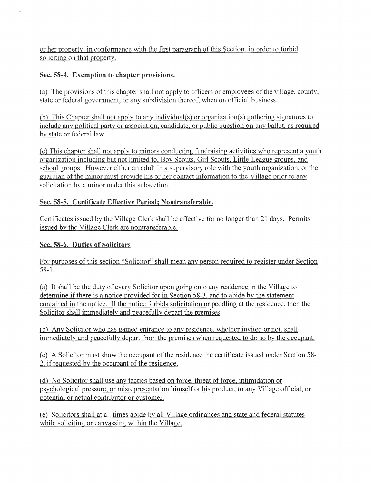or her property, in conformance with the first paragraph of this Section, in order to forbid soliciting on that property.

## Sec. 58-4. Exemption to chapter provisions.

(a) The provisions of this chapter shall not apply to officers or employees of the village, county, state or federal government, or any subdivision thereof, when on official business.

(b) This Chanter shall not apply to any individual(s) or organization(s) gathering signatures to include any political party or association, candidate, or public question on any ballot, as required by state or federal law.

(c) This chapter shall not apply to minors conducting fundraising activities who represent a youth organization including but not limited to, Boy Scouts, Girl Scouts, Little League groups, and school groups. However either an adult in a supervisory role with the youth organization, or the guardian of the minor must provide his or her contact information to the Village prior to any solicitation by a minor under this subsection.

# Sec. 58-5. Certificate Effective Period; Nontransferable.

Certificates issued by the Village Clerk shall be effective for no longer than 21 days. Permits issued by the Village Clerk are nontransferable.

# Sec. **58-6.** Duties of Solicitors

For purposes of this section "Solicitor" shall mean any person required to register under Section  $58-1.$ 

(a) It shall be the duty of every Solicitor upon going onto any residence in the Village to determine if there is a notice provided for in Section 58-3, and to abide by the statement contained in the notice. If the notice forbids solicitation or peddling at the residence, then the Solicitor shall immediately and peacefully depart the premises

(b) Any Solicitor who has gained entrance to any residence, whether invited or not, shall immediately and peacefully depart from the premises when requested to do so by the occupant.

(c) A Solicitor must show the occupant of the residence the certificate issued under Section 58- 2, if requested by the occupant of the residence.

(d) No Solicitor shall use any tactics based on force, threat of force, intimidation or psychological pressure, or misrepresentation himself or his product, to any Village official, or potential or actual contributor or customer.

(e) Solicitors shall at all times abide by all Village ordinances and state and federal statutes while soliciting or canvassing within the Village.